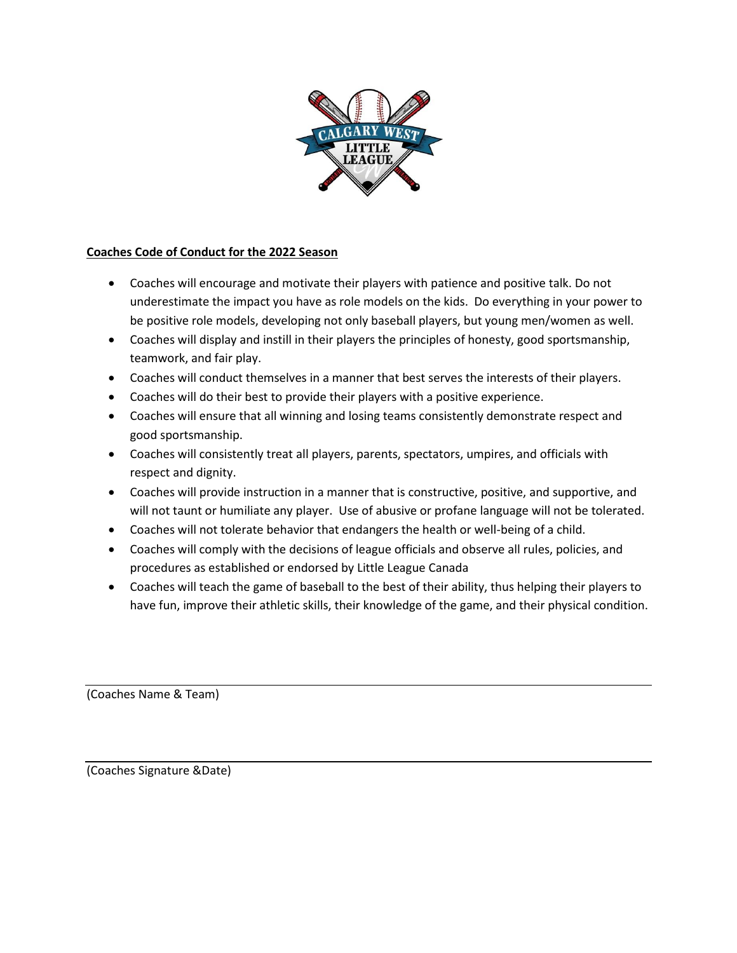

## **Coaches Code of Conduct for the 2022 Season**

- Coaches will encourage and motivate their players with patience and positive talk. Do not underestimate the impact you have as role models on the kids. Do everything in your power to be positive role models, developing not only baseball players, but young men/women as well.
- Coaches will display and instill in their players the principles of honesty, good sportsmanship, teamwork, and fair play.
- Coaches will conduct themselves in a manner that best serves the interests of their players.
- Coaches will do their best to provide their players with a positive experience.
- Coaches will ensure that all winning and losing teams consistently demonstrate respect and good sportsmanship.
- Coaches will consistently treat all players, parents, spectators, umpires, and officials with respect and dignity.
- Coaches will provide instruction in a manner that is constructive, positive, and supportive, and will not taunt or humiliate any player. Use of abusive or profane language will not be tolerated.
- Coaches will not tolerate behavior that endangers the health or well-being of a child.
- Coaches will comply with the decisions of league officials and observe all rules, policies, and procedures as established or endorsed by Little League Canada
- Coaches will teach the game of baseball to the best of their ability, thus helping their players to have fun, improve their athletic skills, their knowledge of the game, and their physical condition.

(Coaches Name & Team)

(Coaches Signature &Date)